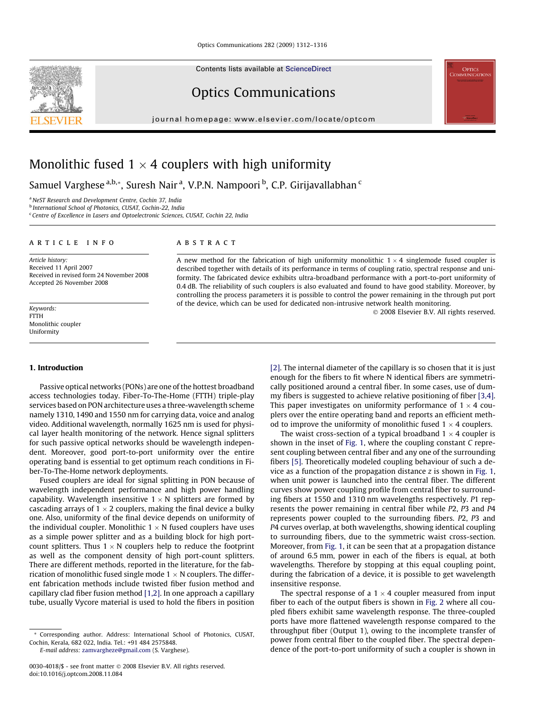Contents lists available at [ScienceDirect](http://www.sciencedirect.com/science/journal/00304018)

# Optics Communications

journal homepage: [www.elsevier.com/locate/optcom](http://www.elsevier.com/locate/optcom)



# Monolithic fused 1  $\times$  4 couplers with high uniformity

Samuel Varghese <sup>a,b,</sup>\*, Suresh Nair <sup>a</sup>, V.P.N. Nampoori <sup>b</sup>, C.P. Girijavallabhan <sup>c</sup>

<sup>a</sup> NeST Research and Development Centre, Cochin 37, India

<sup>b</sup> International School of Photonics, CUSAT, Cochin-22, India

<sup>c</sup> Centre of Excellence in Lasers and Optoelectronic Sciences, CUSAT, Cochin 22, India

#### article info

Article history: Received 11 April 2007 Received in revised form 24 November 2008 Accepted 26 November 2008

Keywords: FTTH Monolithic coupler Uniformity

## 1. Introduction

Passive optical networks (PONs) are one of the hottest broadband access technologies today. Fiber-To-The-Home (FTTH) triple-play services based on PON architecture uses a three-wavelength scheme namely 1310, 1490 and 1550 nm for carrying data, voice and analog video. Additional wavelength, normally 1625 nm is used for physical layer health monitoring of the network. Hence signal splitters for such passive optical networks should be wavelength independent. Moreover, good port-to-port uniformity over the entire operating band is essential to get optimum reach conditions in Fiber-To-The-Home network deployments.

Fused couplers are ideal for signal splitting in PON because of wavelength independent performance and high power handling capability. Wavelength insensitive 1  $\times$  N splitters are formed by cascading arrays of 1  $\times$  2 couplers, making the final device a bulky one. Also, uniformity of the final device depends on uniformity of the individual coupler. Monolithic 1  $\times$  N fused couplers have uses as a simple power splitter and as a building block for high portcount splitters. Thus  $1 \times N$  couplers help to reduce the footprint as well as the component density of high port-count splitters. There are different methods, reported in the literature, for the fabrication of monolithic fused single mode 1  $\times$  N couplers. The different fabrication methods include twisted fiber fusion method and capillary clad fiber fusion method [\[1,2\]](#page-4-0). In one approach a capillary tube, usually Vycore material is used to hold the fibers in position

E-mail address: [zamvargheze@gmail.com](mailto:zamvargheze@gmail.com) (S. Varghese).

#### **ABSTRACT**

A new method for the fabrication of high uniformity monolithic  $1 \times 4$  singlemode fused coupler is described together with details of its performance in terms of coupling ratio, spectral response and uniformity. The fabricated device exhibits ultra-broadband performance with a port-to-port uniformity of 0.4 dB. The reliability of such couplers is also evaluated and found to have good stability. Moreover, by controlling the process parameters it is possible to control the power remaining in the through put port of the device, which can be used for dedicated non-intrusive network health monitoring.

- 2008 Elsevier B.V. All rights reserved.

**N**<br>COMMUNICATION

[\[2\]](#page-4-0). The internal diameter of the capillary is so chosen that it is just enough for the fibers to fit where N identical fibers are symmetrically positioned around a central fiber. In some cases, use of dummy fibers is suggested to achieve relative positioning of fiber [\[3,4\].](#page-4-0) This paper investigates on uniformity performance of 1  $\times$  4 couplers over the entire operating band and reports an efficient method to improve the uniformity of monolithic fused  $1 \times 4$  couplers.

The waist cross-section of a typical broadband  $1 \times 4$  coupler is shown in the inset of [Fig. 1,](#page-1-0) where the coupling constant C represent coupling between central fiber and any one of the surrounding fibers [\[5\]](#page-4-0). Theoretically modeled coupling behaviour of such a device as a function of the propagation distance  $z$  is shown in [Fig. 1,](#page-1-0) when unit power is launched into the central fiber. The different curves show power coupling profile from central fiber to surrounding fibers at 1550 and 1310 nm wavelengths respectively. P1 represents the power remaining in central fiber while P2, P3 and P4 represents power coupled to the surrounding fibers. P2, P3 and P4 curves overlap, at both wavelengths, showing identical coupling to surrounding fibers, due to the symmetric waist cross-section. Moreover, from [Fig. 1,](#page-1-0) it can be seen that at a propagation distance of around 6.5 mm, power in each of the fibers is equal, at both wavelengths. Therefore by stopping at this equal coupling point, during the fabrication of a device, it is possible to get wavelength insensitive response.

The spectral response of a  $1 \times 4$  coupler measured from input fiber to each of the output fibers is shown in [Fig. 2](#page-1-0) where all coupled fibers exhibit same wavelength response. The three-coupled ports have more flattened wavelength response compared to the throughput fiber (Output 1), owing to the incomplete transfer of power from central fiber to the coupled fiber. The spectral dependence of the port-to-port uniformity of such a coupler is shown in

<sup>\*</sup> Corresponding author. Address: International School of Photonics, CUSAT, Cochin, Kerala, 682 022, India. Tel.: +91 484 2575848.

<sup>0030-4018/\$ -</sup> see front matter © 2008 Elsevier B.V. All rights reserved. doi:10.1016/j.optcom.2008.11.084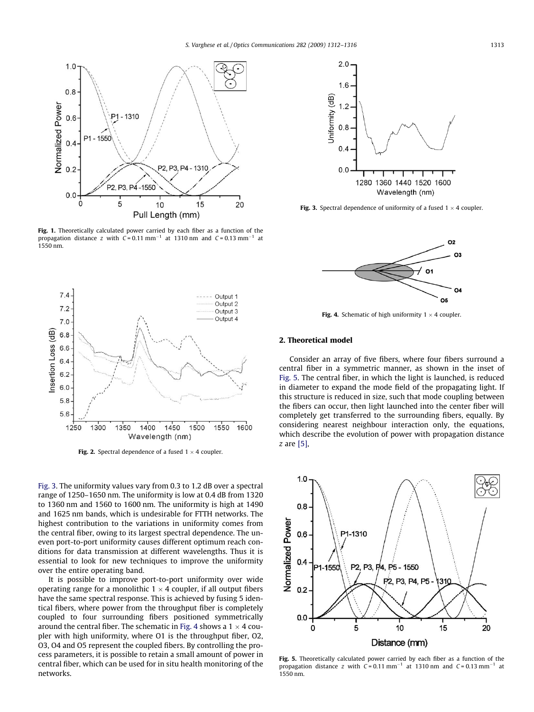<span id="page-1-0"></span>

Fig. 1. Theoretically calculated power carried by each fiber as a function of the propagation distance z with  $C = 0.11$  mm<sup>-1</sup> at 1310 nm and  $C = 0.13$  mm<sup>-1</sup> at 1550 nm.



**Fig. 3.** Spectral dependence of uniformity of a fused  $1 \times 4$  coupler.



**Fig. 4.** Schematic of high uniformity  $1 \times 4$  coupler.

## 2. Theoretical model

Consider an array of five fibers, where four fibers surround a central fiber in a symmetric manner, as shown in the inset of Fig. 5. The central fiber, in which the light is launched, is reduced in diameter to expand the mode field of the propagating light. If this structure is reduced in size, such that mode coupling between the fibers can occur, then light launched into the center fiber will completely get transferred to the surrounding fibers, equally. By considering nearest neighbour interaction only, the equations, which describe the evolution of power with propagation distance z are [\[5\]](#page-4-0),



Fig. 5. Theoretically calculated power carried by each fiber as a function of the propagation distance z with  $C = 0.11$  mm<sup>-1</sup> at 1310 nm and  $C = 0.13$  mm<sup>-1</sup> at 1550 nm.



**Fig. 2.** Spectral dependence of a fused  $1 \times 4$  coupler.

Fig. 3. The uniformity values vary from 0.3 to 1.2 dB over a spectral range of 1250–1650 nm. The uniformity is low at 0.4 dB from 1320 to 1360 nm and 1560 to 1600 nm. The uniformity is high at 1490 and 1625 nm bands, which is undesirable for FTTH networks. The highest contribution to the variations in uniformity comes from the central fiber, owing to its largest spectral dependence. The uneven port-to-port uniformity causes different optimum reach conditions for data transmission at different wavelengths. Thus it is essential to look for new techniques to improve the uniformity over the entire operating band.

It is possible to improve port-to-port uniformity over wide operating range for a monolithic 1  $\times$  4 coupler, if all output fibers have the same spectral response. This is achieved by fusing 5 identical fibers, where power from the throughput fiber is completely coupled to four surrounding fibers positioned symmetrically around the central fiber. The schematic in Fig. 4 shows a 1  $\times$  4 coupler with high uniformity, where O1 is the throughput fiber, O2, O3, O4 and O5 represent the coupled fibers. By controlling the process parameters, it is possible to retain a small amount of power in central fiber, which can be used for in situ health monitoring of the networks.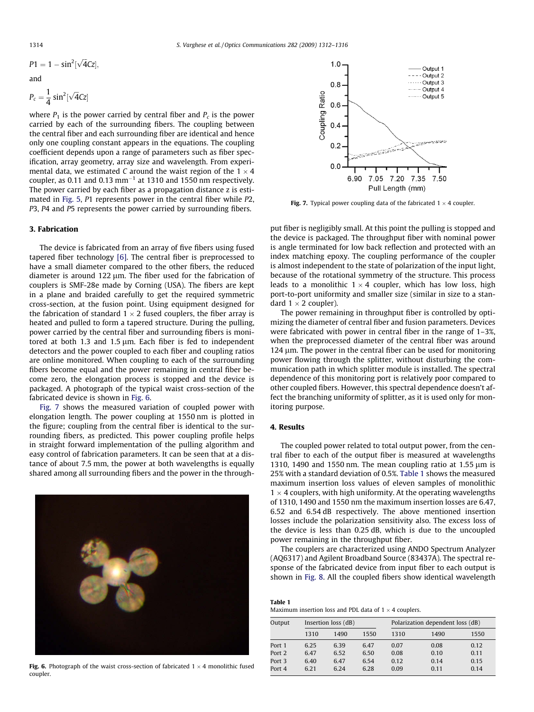<span id="page-2-0"></span>
$$
P1=1-sin^2[\sqrt{4}Cz],
$$

and

$$
P_c = \frac{1}{4} \sin^2[\sqrt{4}Cz]
$$

where  $P_1$  is the power carried by central fiber and  $P_c$  is the power carried by each of the surrounding fibers. The coupling between the central fiber and each surrounding fiber are identical and hence only one coupling constant appears in the equations. The coupling coefficient depends upon a range of parameters such as fiber specification, array geometry, array size and wavelength. From experimental data, we estimated C around the waist region of the 1  $\times$  4 coupler, as 0.11 and 0.13  $mm^{-1}$  at 1310 and 1550 nm respectively. The power carried by each fiber as a propagation distance z is estimated in [Fig. 5,](#page-1-0) P1 represents power in the central fiber while P2, P3, P4 and P5 represents the power carried by surrounding fibers.

#### 3. Fabrication

The device is fabricated from an array of five fibers using fused tapered fiber technology [\[6\]](#page-4-0). The central fiber is preprocessed to have a small diameter compared to the other fibers, the reduced diameter is around 122  $\mu$ m. The fiber used for the fabrication of couplers is SMF-28e made by Corning (USA). The fibers are kept in a plane and braided carefully to get the required symmetric cross-section, at the fusion point. Using equipment designed for the fabrication of standard 1  $\times$  2 fused couplers, the fiber array is heated and pulled to form a tapered structure. During the pulling, power carried by the central fiber and surrounding fibers is monitored at both 1.3 and 1.5  $\mu$ m. Each fiber is fed to independent detectors and the power coupled to each fiber and coupling ratios are online monitored. When coupling to each of the surrounding fibers become equal and the power remaining in central fiber become zero, the elongation process is stopped and the device is packaged. A photograph of the typical waist cross-section of the fabricated device is shown in Fig. 6.

Fig. 7 shows the measured variation of coupled power with elongation length. The power coupling at 1550 nm is plotted in the figure; coupling from the central fiber is identical to the surrounding fibers, as predicted. This power coupling profile helps in straight forward implementation of the pulling algorithm and easy control of fabrication parameters. It can be seen that at a distance of about 7.5 mm, the power at both wavelengths is equally shared among all surrounding fibers and the power in the through-



**Fig. 6.** Photograph of the waist cross-section of fabricated  $1 \times 4$  monolithic fused coupler.



**Fig. 7.** Typical power coupling data of the fabricated  $1 \times 4$  coupler.

put fiber is negligibly small. At this point the pulling is stopped and the device is packaged. The throughput fiber with nominal power is angle terminated for low back reflection and protected with an index matching epoxy. The coupling performance of the coupler is almost independent to the state of polarization of the input light, because of the rotational symmetry of the structure. This process leads to a monolithic  $1 \times 4$  coupler, which has low loss, high port-to-port uniformity and smaller size (similar in size to a standard  $1 \times 2$  coupler).

The power remaining in throughput fiber is controlled by optimizing the diameter of central fiber and fusion parameters. Devices were fabricated with power in central fiber in the range of 1–3%, when the preprocessed diameter of the central fiber was around  $124 \mu m$ . The power in the central fiber can be used for monitoring power flowing through the splitter, without disturbing the communication path in which splitter module is installed. The spectral dependence of this monitoring port is relatively poor compared to other coupled fibers. However, this spectral dependence doesn't affect the branching uniformity of splitter, as it is used only for monitoring purpose.

#### 4. Results

The coupled power related to total output power, from the central fiber to each of the output fiber is measured at wavelengths 1310, 1490 and 1550 nm. The mean coupling ratio at 1.55  $\mu$ m is 25% with a standard deviation of 0.5%. Table 1 shows the measured maximum insertion loss values of eleven samples of monolithic  $1 \times 4$  couplers, with high uniformity. At the operating wavelengths of 1310, 1490 and 1550 nm the maximum insertion losses are 6.47, 6.52 and 6.54 dB respectively. The above mentioned insertion losses include the polarization sensitivity also. The excess loss of the device is less than 0.25 dB, which is due to the uncoupled power remaining in the throughput fiber.

The couplers are characterized using ANDO Spectrum Analyzer (AQ6317) and Agilent Broadband Source (83437A). The spectral response of the fabricated device from input fiber to each output is shown in [Fig. 8.](#page-3-0) All the coupled fibers show identical wavelength

Table 1 Maximum insertion loss and PDL data of  $1 \times 4$  couplers.

| Output | Insertion loss (dB) |      |      | Polarization dependent loss (dB) |      |      |
|--------|---------------------|------|------|----------------------------------|------|------|
|        | 1310                | 1490 | 1550 | 1310                             | 1490 | 1550 |
| Port 1 | 6.25                | 6.39 | 6.47 | 0.07                             | 0.08 | 0.12 |
| Port 2 | 6.47                | 6.52 | 6.50 | 0.08                             | 0.10 | 0.11 |
| Port 3 | 6.40                | 6.47 | 6.54 | 0.12                             | 0.14 | 0.15 |
| Port 4 | 6.21                | 6.24 | 6.28 | 0.09                             | 0.11 | 0.14 |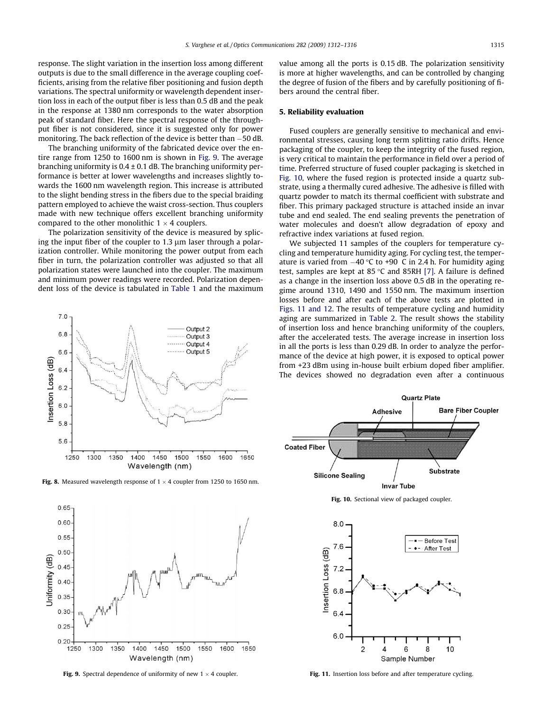<span id="page-3-0"></span>response. The slight variation in the insertion loss among different outputs is due to the small difference in the average coupling coefficients, arising from the relative fiber positioning and fusion depth variations. The spectral uniformity or wavelength dependent insertion loss in each of the output fiber is less than 0.5 dB and the peak in the response at 1380 nm corresponds to the water absorption peak of standard fiber. Here the spectral response of the throughput fiber is not considered, since it is suggested only for power monitoring. The back reflection of the device is better than  $-50$  dB.

The branching uniformity of the fabricated device over the entire range from 1250 to 1600 nm is shown in Fig. 9. The average branching uniformity is  $0.4 \pm 0.1$  dB. The branching uniformity performance is better at lower wavelengths and increases slightly towards the 1600 nm wavelength region. This increase is attributed to the slight bending stress in the fibers due to the special braiding pattern employed to achieve the waist cross-section. Thus couplers made with new technique offers excellent branching uniformity compared to the other monolithic 1  $\times$  4 couplers.

The polarization sensitivity of the device is measured by splicing the input fiber of the coupler to  $1.3 \mu m$  laser through a polarization controller. While monitoring the power output from each fiber in turn, the polarization controller was adjusted so that all polarization states were launched into the coupler. The maximum and minimum power readings were recorded. Polarization dependent loss of the device is tabulated in [Table 1](#page-2-0) and the maximum



**Fig. 8.** Measured wavelength response of  $1 \times 4$  coupler from 1250 to 1650 nm.



**Fig. 9.** Spectral dependence of uniformity of new  $1 \times 4$  coupler.

value among all the ports is 0.15 dB. The polarization sensitivity is more at higher wavelengths, and can be controlled by changing the degree of fusion of the fibers and by carefully positioning of fibers around the central fiber.

# 5. Reliability evaluation

Fused couplers are generally sensitive to mechanical and environmental stresses, causing long term splitting ratio drifts. Hence packaging of the coupler, to keep the integrity of the fused region, is very critical to maintain the performance in field over a period of time. Preferred structure of fused coupler packaging is sketched in Fig. 10, where the fused region is protected inside a quartz substrate, using a thermally cured adhesive. The adhesive is filled with quartz powder to match its thermal coefficient with substrate and fiber. This primary packaged structure is attached inside an invar tube and end sealed. The end sealing prevents the penetration of water molecules and doesn't allow degradation of epoxy and refractive index variations at fused region.

We subjected 11 samples of the couplers for temperature cycling and temperature humidity aging. For cycling test, the temperature is varied from  $-40$  °C to +90 C in 2.4 h. For humidity aging test, samples are kept at 85 °C and 85RH [\[7\].](#page-4-0) A failure is defined as a change in the insertion loss above 0.5 dB in the operating regime around 1310, 1490 and 1550 nm. The maximum insertion losses before and after each of the above tests are plotted in Figs. 11 and 12. The results of temperature cycling and humidity aging are summarized in [Table 2.](#page-4-0) The result shows the stability of insertion loss and hence branching uniformity of the couplers, after the accelerated tests. The average increase in insertion loss in all the ports is less than 0.29 dB. In order to analyze the performance of the device at high power, it is exposed to optical power from +23 dBm using in-house built erbium doped fiber amplifier. The devices showed no degradation even after a continuous



Fig. 10. Sectional view of packaged coupler.



Fig. 11. Insertion loss before and after temperature cycling.